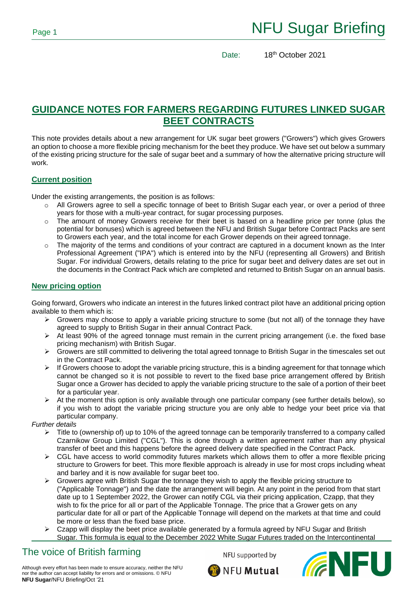Date: 18<sup>th</sup> October 2021

## **GUIDANCE NOTES FOR FARMERS REGARDING FUTURES LINKED SUGAR BEET CONTRACTS**

This note provides details about a new arrangement for UK sugar beet growers ("Growers") which gives Growers an option to choose a more flexible pricing mechanism for the beet they produce. We have set out below a summary of the existing pricing structure for the sale of sugar beet and a summary of how the alternative pricing structure will work.

### **Current position**

Under the existing arrangements, the position is as follows:

- $\circ$  All Growers agree to sell a specific tonnage of beet to British Sugar each year, or over a period of three years for those with a multi-year contract, for sugar processing purposes.
- $\circ$  The amount of money Growers receive for their beet is based on a headline price per tonne (plus the potential for bonuses) which is agreed between the NFU and British Sugar before Contract Packs are sent to Growers each year, and the total income for each Grower depends on their agreed tonnage.
- $\circ$  The majority of the terms and conditions of your contract are captured in a document known as the Inter Professional Agreement ("IPA") which is entered into by the NFU (representing all Growers) and British Sugar. For individual Growers, details relating to the price for sugar beet and delivery dates are set out in the documents in the Contract Pack which are completed and returned to British Sugar on an annual basis.

### **New pricing option**

Going forward, Growers who indicate an interest in the futures linked contract pilot have an additional pricing option available to them which is:

- ➢ Growers may choose to apply a variable pricing structure to some (but not all) of the tonnage they have agreed to supply to British Sugar in their annual Contract Pack.
- $\triangleright$  At least 90% of the agreed tonnage must remain in the current pricing arrangement (i.e. the fixed base pricing mechanism) with British Sugar.
- ➢ Growers are still committed to delivering the total agreed tonnage to British Sugar in the timescales set out in the Contract Pack.
- $\triangleright$  If Growers choose to adopt the variable pricing structure, this is a binding agreement for that tonnage which cannot be changed so it is not possible to revert to the fixed base price arrangement offered by British Sugar once a Grower has decided to apply the variable pricing structure to the sale of a portion of their beet for a particular year.
- ➢ At the moment this option is only available through one particular company (see further details below), so if you wish to adopt the variable pricing structure you are only able to hedge your beet price via that particular company.

*Further details*

- ➢ Title to (ownership of) up to 10% of the agreed tonnage can be temporarily transferred to a company called Czarnikow Group Limited ("CGL"). This is done through a written agreement rather than any physical transfer of beet and this happens before the agreed delivery date specified in the Contract Pack.
- $\triangleright$  CGL have access to world commodity futures markets which allows them to offer a more flexible pricing structure to Growers for beet. This more flexible approach is already in use for most crops including wheat and barley and it is now available for sugar beet too.
- $\triangleright$  Growers agree with British Sugar the tonnage they wish to apply the flexible pricing structure to ("Applicable Tonnage") and the date the arrangement will begin. At any point in the period from that start date up to 1 September 2022, the Grower can notify CGL via their pricing application, Czapp, that they wish to fix the price for all or part of the Applicable Tonnage. The price that a Grower gets on any particular date for all or part of the Applicable Tonnage will depend on the markets at that time and could be more or less than the fixed base price.
- $\triangleright$  Czapp will display the beet price available generated by a formula agreed by NFU Sugar and British Sugar. This formula is equal to the December 2022 White Sugar Futures traded on the Intercontinental

# The voice of British farming

NFU supported by



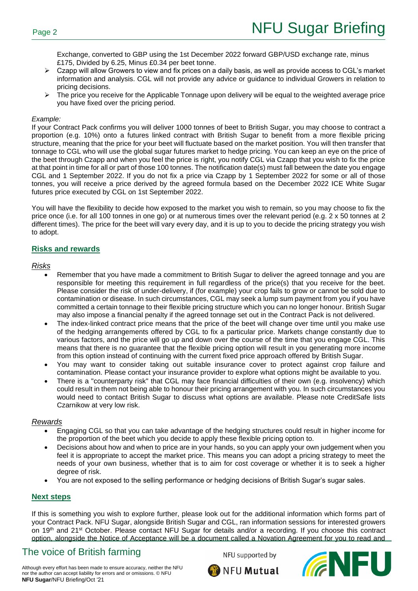Exchange, converted to GBP using the 1st December 2022 forward GBP/USD exchange rate, minus £175, Divided by 6.25, Minus £0.34 per beet tonne.

- ➢ Czapp will allow Growers to view and fix prices on a daily basis, as well as provide access to CGL's market information and analysis. CGL will not provide any advice or guidance to individual Growers in relation to pricing decisions.
- $\triangleright$  The price you receive for the Applicable Tonnage upon delivery will be equal to the weighted average price you have fixed over the pricing period.

#### *Example:*

If your Contract Pack confirms you will deliver 1000 tonnes of beet to British Sugar, you may choose to contract a proportion (e.g. 10%) onto a futures linked contract with British Sugar to benefit from a more flexible pricing structure, meaning that the price for your beet will fluctuate based on the market position. You will then transfer that tonnage to CGL who will use the global sugar futures market to hedge pricing. You can keep an eye on the price of the beet through Czapp and when you feel the price is right, you notify CGL via Czapp that you wish to fix the price at that point in time for all or part of those 100 tonnes. The notification date(s) must fall between the date you engage CGL and 1 September 2022. If you do not fix a price via Czapp by 1 September 2022 for some or all of those tonnes, you will receive a price derived by the agreed formula based on the December 2022 ICE White Sugar futures price executed by CGL on 1st September 2022.

You will have the flexibility to decide how exposed to the market you wish to remain, so you may choose to fix the price once (i.e. for all 100 tonnes in one go) or at numerous times over the relevant period (e.g. 2 x 50 tonnes at 2 different times). The price for the beet will vary every day, and it is up to you to decide the pricing strategy you wish to adopt.

### **Risks and rewards**

#### *Risks*

- Remember that you have made a commitment to British Sugar to deliver the agreed tonnage and you are responsible for meeting this requirement in full regardless of the price(s) that you receive for the beet. Please consider the risk of under-delivery, if (for example) your crop fails to grow or cannot be sold due to contamination or disease. In such circumstances, CGL may seek a lump sum payment from you if you have committed a certain tonnage to their flexible pricing structure which you can no longer honour. British Sugar may also impose a financial penalty if the agreed tonnage set out in the Contract Pack is not delivered.
- The index-linked contract price means that the price of the beet will change over time until you make use of the hedging arrangements offered by CGL to fix a particular price. Markets change constantly due to various factors, and the price will go up and down over the course of the time that you engage CGL. This means that there is no guarantee that the flexible pricing option will result in you generating more income from this option instead of continuing with the current fixed price approach offered by British Sugar.
- You may want to consider taking out suitable insurance cover to protect against crop failure and contamination. Please contact your insurance provider to explore what options might be available to you.
- There is a "counterparty risk" that CGL may face financial difficulties of their own (e.g. insolvency) which could result in them not being able to honour their pricing arrangement with you. In such circumstances you would need to contact British Sugar to discuss what options are available. Please note CreditSafe lists Czarnikow at very low risk.

#### *Rewards*

- Engaging CGL so that you can take advantage of the hedging structures could result in higher income for the proportion of the beet which you decide to apply these flexible pricing option to.
- Decisions about how and when to price are in your hands, so you can apply your own judgement when you feel it is appropriate to accept the market price. This means you can adopt a pricing strategy to meet the needs of your own business, whether that is to aim for cost coverage or whether it is to seek a higher degree of risk.
- You are not exposed to the selling performance or hedging decisions of British Sugar's sugar sales.

#### **Next steps**

If this is something you wish to explore further, please look out for the additional information which forms part of your Contract Pack. NFU Sugar, alongside British Sugar and CGL, ran information sessions for interested growers on 19th and 21st October. Please contact NFU Sugar for details and/or a recording. If you choose this contract option, alongside the Notice of Acceptance will be a document called a Novation Agreement for you to read and

# The voice of British farming

NFU supported by